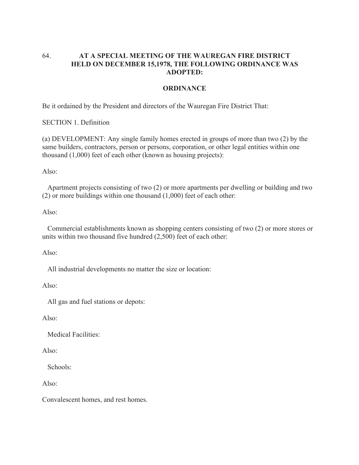## 64. **AT A SPECIAL MEETING OF THE WAUREGAN FIRE DISTRICT HELD ON DECEMBER 15,1978, THE FOLLOWING ORDINANCE WAS ADOPTED:**

## **ORDINANCE**

Be it ordained by the President and directors of the Wauregan Fire District That:

SECTION 1. Definition

(a) DEVELOPMENT: Any single family homes erected in groups of more than two (2) by the same builders, contractors, person or persons, corporation, or other legal entities within one thousand (1,000) feet of each other (known as housing projects):

Also:

 Apartment projects consisting of two (2) or more apartments per dwelling or building and two (2) or more buildings within one thousand (1,000) feet of each other:

Also:

 Commercial establishments known as shopping centers consisting of two (2) or more stores or units within two thousand five hundred (2,500) feet of each other:

Also:

All industrial developments no matter the size or location:

Also:

All gas and fuel stations or depots:

Also:

Medical Facilities:

Also:

Schools:

Also:

Convalescent homes, and rest homes.